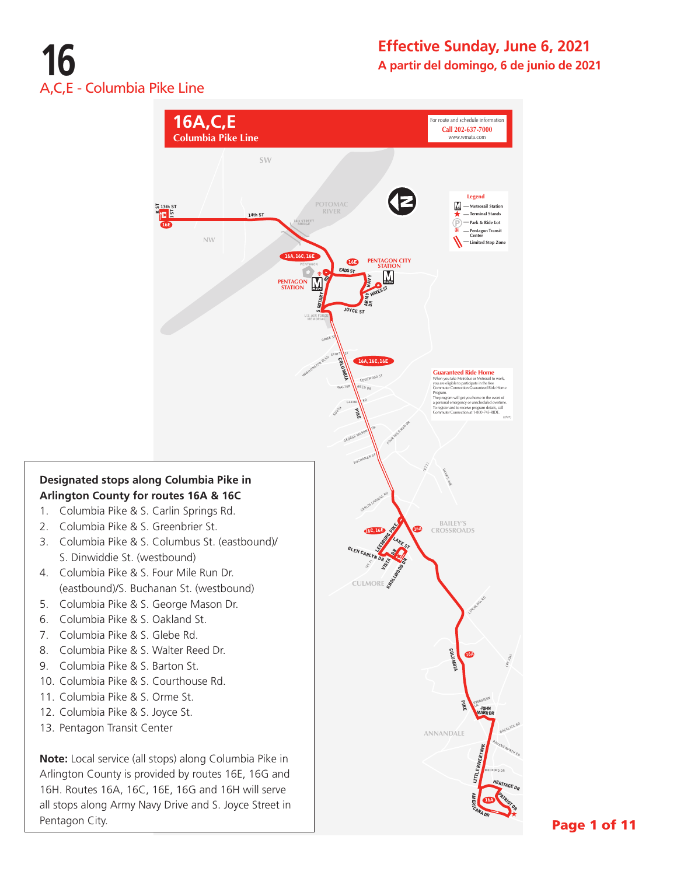# **16** A,C,E - Columbia Pike Line

Pentagon City.

### **Effective Sunday, June 6, 2021 A partir del domingo, 6 de junio de 2021**



Page 1 of 11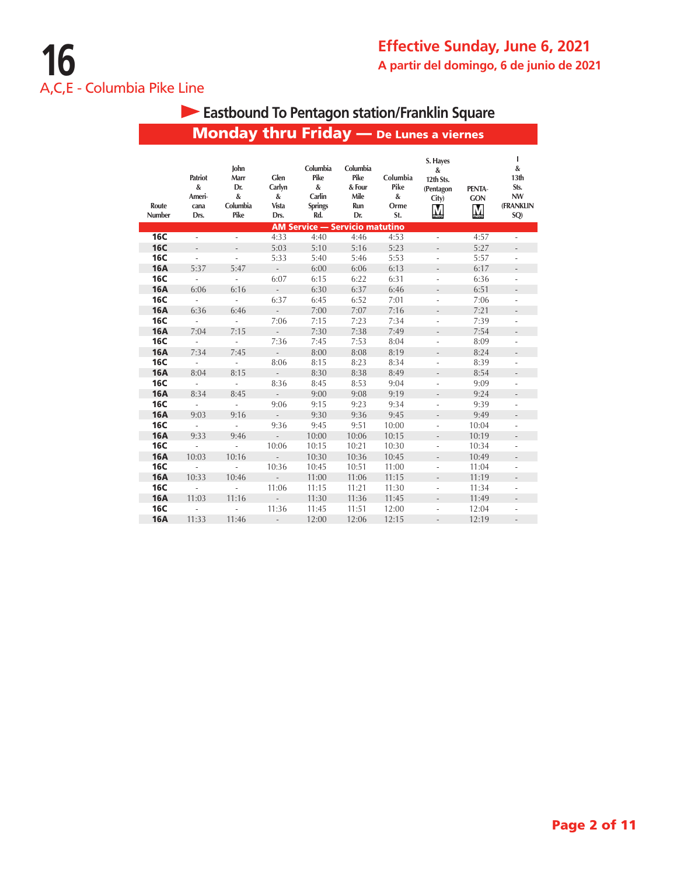|                 |                                        | <b>Monday thru Friday</b> - De Lunes a viernes  |                                         |                                                          |                                                  |                                      |                                                                       |                                      |                                                         |
|-----------------|----------------------------------------|-------------------------------------------------|-----------------------------------------|----------------------------------------------------------|--------------------------------------------------|--------------------------------------|-----------------------------------------------------------------------|--------------------------------------|---------------------------------------------------------|
| Route<br>Number | Patriot<br>&<br>Ameri-<br>cana<br>Drs. | John<br>Marr<br>Dr.<br>$\&$<br>Columbia<br>Pike | Glen<br>Carlyn<br>$\&$<br>Vista<br>Drs. | Columbia<br>Pike<br>&<br>Carlin<br><b>Springs</b><br>Rd. | Columbia<br>Pike<br>& Four<br>Mile<br>Run<br>Dr. | Columbia<br>Pike<br>&<br>Orme<br>St. | S. Hayes<br>$\boldsymbol{\&}$<br>12th Sts.<br>(Pentagon<br>City)<br>M | PENTA-<br><b>GON</b><br>$\mathbf{M}$ | T<br>&<br>13th<br>Sts.<br><b>NW</b><br>(FRANKLIN<br>SQ) |
|                 |                                        |                                                 |                                         | <b>AM Service - Servicio matutino</b>                    |                                                  |                                      |                                                                       |                                      |                                                         |
| <b>16C</b>      | ÷,                                     | ä,                                              | 4:33                                    | 4:40                                                     | 4:46                                             | 4:53                                 | L.                                                                    | 4:57                                 | ÷,                                                      |
| <b>16C</b>      | $\frac{1}{2}$                          |                                                 | 5:03                                    | 5:10                                                     | 5:16                                             | 5:23                                 |                                                                       | 5:27                                 |                                                         |
| <b>16C</b>      | $\overline{a}$                         |                                                 | 5:33                                    | 5:40                                                     | 5:46                                             | 5:53                                 |                                                                       | 5:57                                 |                                                         |
| <b>16A</b>      | 5:37                                   | 5:47                                            | $\omega_{\rm{eff}}$                     | 6:00                                                     | 6:06                                             | 6:13                                 | $\overline{a}$                                                        | 6:17                                 | $\overline{\phantom{a}}$                                |
| <b>16C</b>      | $\mathbb{Z}^2$                         | L,                                              | 6:07                                    | 6:15                                                     | 6:22                                             | 6:31                                 |                                                                       | 6:36                                 |                                                         |
| <b>16A</b>      | 6:06                                   | 6:16                                            | $\mathcal{L}^{\pm}$                     | 6:30                                                     | 6:37                                             | 6:46                                 | $\overline{a}$                                                        | 6:51                                 | $\overline{\phantom{a}}$                                |
| <b>16C</b>      | ä,                                     | ä,                                              | 6:37                                    | 6:45                                                     | 6:52                                             | 7:01                                 | ä,                                                                    | 7:06                                 | ä,                                                      |
| <b>16A</b>      | 6:36                                   | 6:46                                            | $\mathcal{L}^{\pm}$                     | 7:00                                                     | 7:07                                             | 7:16                                 | $\qquad \qquad -$                                                     | 7:21                                 |                                                         |
| <b>16C</b>      | $\overline{\phantom{a}}$               | ä,                                              | 7:06                                    | 7:15                                                     | 7:23                                             | 7:34                                 | ÷,                                                                    | 7:39                                 | $\overline{\phantom{a}}$                                |
| <b>16A</b>      | 7:04                                   | 7:15                                            | $\mathcal{L}^{\pm}$                     | 7:30                                                     | 7:38                                             | 7:49                                 | $\qquad \qquad -$                                                     | 7:54                                 |                                                         |
| <b>16C</b>      | $\overline{\phantom{a}}$               | ÷,                                              | 7:36                                    | 7:45                                                     | 7:53                                             | 8:04                                 | ä,                                                                    | 8:09                                 | ٠                                                       |
| <b>16A</b>      | 7:34                                   | 7:45                                            | $\mathcal{L}^{\mathcal{L}}$             | 8:00                                                     | 8:08                                             | 8:19                                 |                                                                       | 8:24                                 |                                                         |
| <b>16C</b>      | $\blacksquare$                         | ÷,                                              | 8:06                                    | 8:15                                                     | 8:23                                             | 8:34                                 | ÷                                                                     | 8:39                                 | ÷                                                       |
| <b>16A</b>      | 8:04                                   | 8:15                                            | $\mathcal{L}^{\pm}$                     | 8:30                                                     | 8:38                                             | 8:49                                 |                                                                       | 8:54                                 |                                                         |
| <b>16C</b>      | $\overline{\phantom{a}}$               | ÷                                               | 8:36                                    | 8:45                                                     | 8:53                                             | 9:04                                 | ÷,                                                                    | 9:09                                 | ä,                                                      |
| <b>16A</b>      | 8:34                                   | 8:45                                            | $\mathcal{L}^{\pm}$                     | 9:00                                                     | 9:08                                             | 9:19                                 | $\frac{1}{2}$                                                         | 9:24                                 |                                                         |
| <b>16C</b>      | $\overline{\phantom{a}}$               | ä,                                              | 9:06                                    | 9:15                                                     | 9:23                                             | 9:34                                 | ÷,                                                                    | 9:39                                 | ÷,                                                      |
| <b>16A</b>      | 9:03                                   | 9:16                                            | $\mathcal{L}^{\pm}$                     | 9:30                                                     | 9:36                                             | 9:45                                 | $\frac{1}{2}$                                                         | 9:49                                 |                                                         |
| <b>16C</b>      | $\overline{\phantom{a}}$               | ä,                                              | 9:36                                    | 9:45                                                     | 9:51                                             | 10:00                                | ÷,                                                                    | 10:04                                | $\overline{\phantom{a}}$                                |
| <b>16A</b>      | 9:33                                   | 9:46                                            | $\mathcal{L}^{\mathcal{A}}$             | 10:00                                                    | 10:06                                            | 10:15                                | $\frac{1}{2}$                                                         | 10:19                                |                                                         |
| <b>16C</b>      | $\mathcal{L}$                          | $\sim$                                          | 10:06                                   | 10:15                                                    | 10:21                                            | 10:30                                | ÷,                                                                    | 10:34                                | ÷,                                                      |
| <b>16A</b>      | 10:03                                  | 10:16                                           | $\mathcal{L}^{\pm}$                     | 10:30                                                    | 10:36                                            | 10:45                                | $\frac{1}{2}$                                                         | 10:49                                |                                                         |
| <b>16C</b>      | $\overline{\phantom{a}}$               | ÷.                                              | 10:36                                   | 10:45                                                    | 10:51                                            | 11:00                                | ä,                                                                    | 11:04                                | ÷                                                       |
| <b>16A</b>      | 10:33                                  | 10:46                                           | $\sim 10^{-1}$                          | 11:00                                                    | 11:06                                            | 11:15                                | $\overline{\phantom{m}}$                                              | 11:19                                |                                                         |
| <b>16C</b>      | ä,                                     | ä,                                              | 11:06                                   | 11:15                                                    | 11:21                                            | 11:30                                | ÷,                                                                    | 11:34                                | $\overline{\phantom{a}}$                                |
| <b>16A</b>      | 11:03                                  | 11:16                                           | $\omega_{\rm{eff}}$                     | 11:30                                                    | 11:36                                            | 11:45                                |                                                                       | 11:49                                |                                                         |
| <b>16C</b>      | $\overline{\phantom{a}}$               | ÷,                                              | 11:36                                   | 11:45                                                    | 11:51                                            | 12:00                                |                                                                       | 12:04                                |                                                         |
| <b>16A</b>      | 11:33                                  | 11:46                                           | $\overline{\phantom{a}}$                | 12:00                                                    | 12:06                                            | 12:15                                |                                                                       | 12:19                                |                                                         |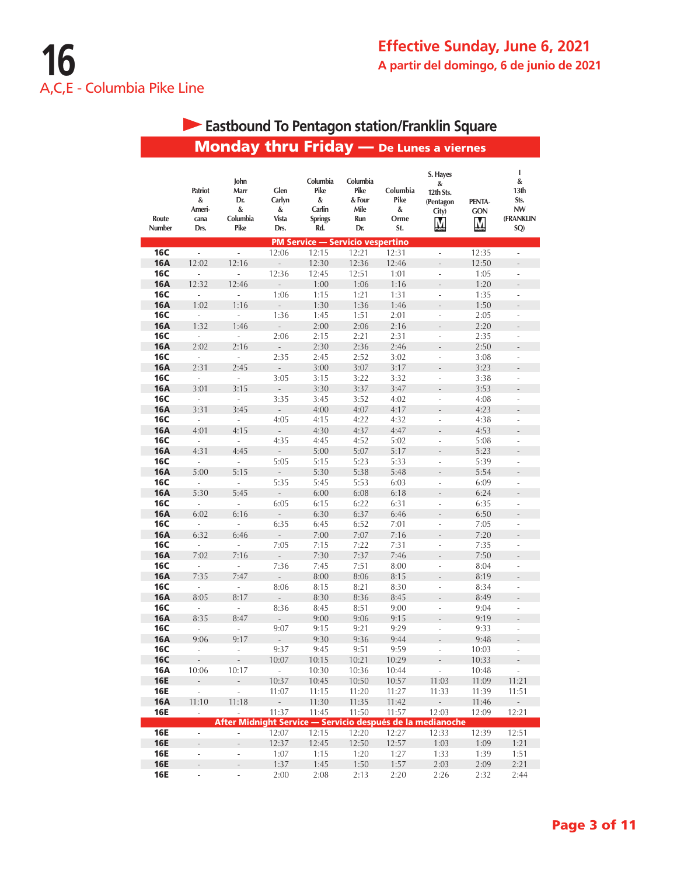#### Monday thru Friday — De Lunes a viernes **I S. Hayes John Columbia Columbia & & Glen Patriot Marr Pike Pike Columbia 13th 12th Sts. & Dr. Carlyn & & Four Pike PENTA**-**Sts. (Pentagon Ameri**-**Carlin Mile NW & & & City) GON Route Columbia Orme (FRANKLIN cana Vista Springs Run** M M **Number Drs. Pike Drs. Rd. Dr. St. SQ)** PM Service — Servicio vespertino **16C** - - 12:06 12:15 12:21 12:31 - 12:35 -**16A** 12:02 12:16 - 12:30 12:36 12:46 - 12:50 -**16C** - - 12:36 12:45 12:51 1:01 - 1:05 -**16A** 12:32 12:46 - 1:00 1:06 1:16 - 1:20 -**16C** - - 1:06 1:15 1:21 1:31 - 1:35 -**16A** 1:02 1:16 - 1:30 1:36 1:46 - 1:50 -**16C** - - 1:36 1:45 1:51 2:01 - 2:05 -**16A** 1:32 1:46 - 2:00 2:06 2:16 - 2:20 -**16C** - - 2:06 2:15 2:21 2:31 - 2:35 - 16A 2:02 2:16 - 2:30 2:36 2:46 - 2:50 - **16C** - - 2:35 2:45 2:52 3:02 - 3:08 -**16A** 2:31 2:45 - 3:00 3:07 3:17 - 3:23 -**16C** - - 3:05 3:15 3:22 3:32 - 3:38 -**16A** 3:01 3:15 - 3:30 3:37 3:47 - 3:53 -**16C** - - 3:35 3:45 3:52 4:02 - 4:08 -**16A** 3:31 3:45 - 4:00 4:07 4:17 - 4:23 -**16C** - - 4:05 4:15 4:22 4:32 - 4:38 -**16A** 4:01 4:15 - 4:30 4:37 4:47 - 4:53 -**16C** - - 4:35 4:45 4:52 5:02 - 5:08 -**16A** 4:31 4:45 - 5:00 5:07 5:17 - 5:23 -**16C** - - 5:05 5:15 5:23 5:33 - 5:39 -**16A** 5:00 5:15 - 5:30 5:38 5:48 - 5:54 -**16C** - - 5:35 5:45 5:53 6:03 - 6:09 -**16A** 5:30 5:45 - 6:00 6:08 6:18 - 6:24 -**16C** - - 6:05 6:15 6:22 6:31 - 6:35 -**16A** 6:02 6:16 - 6:30 6:37 6:46 - 6:50 -**16C** - - 6:35 6:45 6:52 7:01 - 7:05 -**16A** 6:32 6:46 - 7:00 7:07 7:16 - 7:20 -**16C** - - 7:05 7:15 7:22 7:31 - 7:35 -**16A** 7:02 7:16 - 7:30 7:37 7:46 - 7:50 -**16C** - - 7:36 7:45 7:51 8:00 - 8:04 -**16A** 7:35 7:47 - 8:00 8:06 8:15 - 8:19 -**16C** - - 8:06 8:15 8:21 8:30 - 8:34 -**16A** 8:05 8:17 - 8:30 8:36 8:45 - 8:49 -**16C** - - 8:36 8:45 8:51 9:00 - 9:04 -**16A** 8:35 8:47 - 9:00 9:06 9:15 - 9:19 -**16C** - - 9:07 9:15 9:21 9:29 - 9:33 -**16A** 9:06 9:17 - 9:30 9:36 9:44 - 9:48 -**16C** - - 9:37 9:45 9:51 9:59 - 10:03 -**16C** - - 10:07 10:15 10:21 10:29 - 10:33 -**16A** 10:06 10:17 - 10:30 10:36 10:44 - 10:48 -**16E** - - 10:37 10:45 10:50 10:57 11:03 11:09 11:21 **16E** - - 11:07 11:15 11:20 11:27 11:33 11:39 11:51 **16A** 11:10 11:18 - 11:30 11:35 11:42 - 11:46 -**16E** - - 11:37 11:45 11:50 11:57 12:03 12:09 12:21 After Midnight Service — Servicio después de la medianoche **16E** - - 12:07 12:15 12:20 12:27 12:33 12:39 12:51 **16E** - - 12:37 12:45 12:50 12:57 1:03 1:09 1:21 **16E** - - 1:07 1:15 1:20 1:27 1:33 1:39 1:51 **16E** - - 1:37 1:45 1:50 1:57 2:03 2:09 2:21 **16E** - - 2:00 2:08 2:13 2:20 2:26 2:32 2:44

# **Eastbound To Pentagon station/Franklin Square**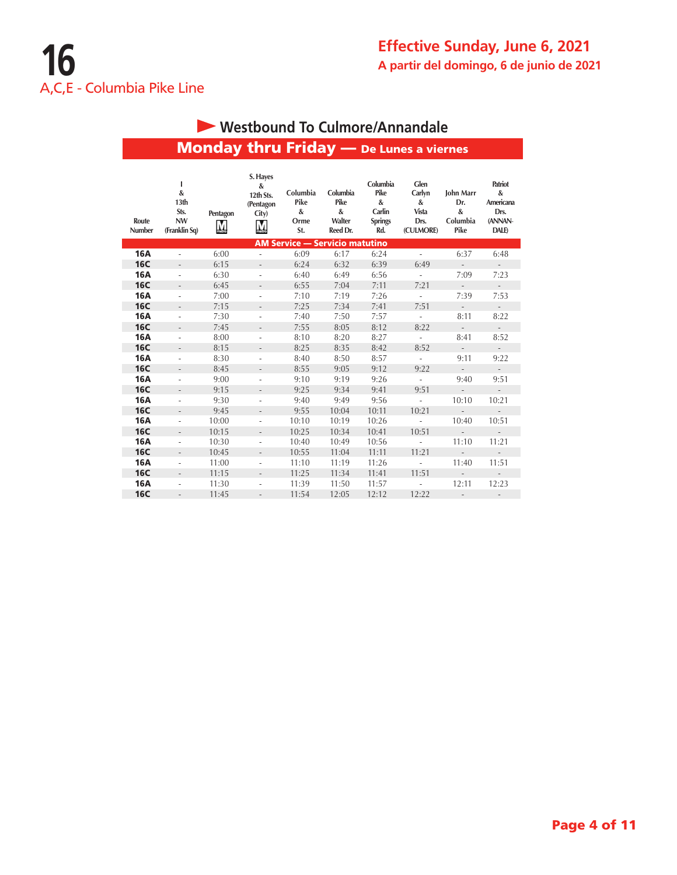# Monday thru Friday — De Lunes a viernes  **Westbound To Culmore/Annandale**

| Route<br><b>Number</b> | ı<br>&<br>13 <sub>th</sub><br>Sts.<br><b>NW</b><br>(Franklin Sq) | Pentagon<br>$\overline{\mathsf{M}}$ | S. Hayes<br>&<br>12th Sts.<br>(Pentagon<br>City) | Columbia<br>Pike<br>$\pmb{\&}$<br>Orme<br>St. | Columbia<br>Pike<br>&<br>Walter<br>Reed Dr. | Columbia<br>Pike<br>&<br>Carlin<br><b>Springs</b><br>Rd. | Glen<br>Carlyn<br>&<br><b>Vista</b><br>Drs.<br>(CULMORE) | <b>John Marr</b><br>Dr.<br>$\boldsymbol{\mathcal{S}}$<br>Columbia<br>Pike | Patriot<br>&<br>Americana<br>Drs.<br>(ANNAN-<br><b>DALE</b> |
|------------------------|------------------------------------------------------------------|-------------------------------------|--------------------------------------------------|-----------------------------------------------|---------------------------------------------|----------------------------------------------------------|----------------------------------------------------------|---------------------------------------------------------------------------|-------------------------------------------------------------|
|                        |                                                                  |                                     |                                                  |                                               | <b>AM Service - Servicio matutino</b>       |                                                          |                                                          |                                                                           |                                                             |
| <b>16A</b>             | ä,                                                               | 6:00                                |                                                  | 6:09                                          | 6:17                                        | 6:24                                                     | $\sim$                                                   | 6:37                                                                      | 6:48                                                        |
| <b>16C</b>             | $\frac{1}{2}$                                                    | 6:15                                | $\overline{\phantom{a}}$                         | 6:24                                          | 6:32                                        | 6:39                                                     | 6:49                                                     | $\overline{\phantom{a}}$                                                  | ÷,                                                          |
| <b>16A</b>             | $\overline{\phantom{0}}$                                         | 6:30                                | $\overline{\phantom{a}}$                         | 6:40                                          | 6:49                                        | 6:56                                                     | $\overline{\phantom{a}}$                                 | 7:09                                                                      | 7:23                                                        |
| <b>16C</b>             | $\overline{a}$                                                   | 6:45                                |                                                  | 6:55                                          | 7:04                                        | 7:11                                                     | 7:21                                                     | $\mathcal{L}$                                                             | $\mathcal{L}^{\pm}$                                         |
| <b>16A</b>             | $\overline{\phantom{0}}$                                         | 7:00                                | $\overline{a}$                                   | 7:10                                          | 7:19                                        | 7:26                                                     | $\overline{\phantom{a}}$                                 | 7:39                                                                      | 7:53                                                        |
| <b>16C</b>             | $\overline{\phantom{a}}$                                         | 7:15                                |                                                  | 7:25                                          | 7:34                                        | 7:41                                                     | 7:51                                                     | $\sim$                                                                    | $\sim$                                                      |
| <b>16A</b>             | ä,                                                               | 7:30                                | ÷,                                               | 7:40                                          | 7:50                                        | 7:57                                                     | $\overline{\phantom{a}}$                                 | 8:11                                                                      | 8:22                                                        |
| <b>16C</b>             | $\overline{a}$                                                   | 7:45                                | $\overline{\phantom{a}}$                         | 7:55                                          | 8:05                                        | 8:12                                                     | 8:22                                                     | $\sim$                                                                    | $\mathcal{L}^{\pm}$                                         |
| <b>16A</b>             | $\overline{\phantom{a}}$                                         | 8:00                                | $\overline{\phantom{a}}$                         | 8:10                                          | 8:20                                        | 8:27                                                     | $\overline{\phantom{a}}$                                 | 8:41                                                                      | 8:52                                                        |
| <b>16C</b>             | $\overline{a}$                                                   | 8:15                                |                                                  | 8:25                                          | 8:35                                        | 8:42                                                     | 8:52                                                     | $\overline{a}$                                                            | $\mathcal{L}^{\pm}$                                         |
| <b>16A</b>             | $\overline{\phantom{0}}$                                         | 8:30                                | ٠                                                | 8:40                                          | 8:50                                        | 8:57                                                     | $\overline{\phantom{a}}$                                 | 9:11                                                                      | 9:22                                                        |
| <b>16C</b>             | $\overline{\phantom{0}}$                                         | 8:45                                | $\overline{\phantom{0}}$                         | 8:55                                          | 9:05                                        | 9:12                                                     | 9:22                                                     | $\overline{\phantom{a}}$                                                  | $\overline{\phantom{a}}$                                    |
| <b>16A</b>             | ٠                                                                | 9:00                                | ä,                                               | 9:10                                          | 9:19                                        | 9:26                                                     | ÷.                                                       | 9:40                                                                      | 9:51                                                        |
| <b>16C</b>             | $\overline{\phantom{a}}$                                         | 9:15                                | $\overline{\phantom{a}}$                         | 9:25                                          | 9:34                                        | 9:41                                                     | 9:51                                                     | $\sim$                                                                    | $\mathcal{L}^{\pm}$                                         |
| <b>16A</b>             | $\overline{\phantom{0}}$                                         | 9:30                                | $\overline{\phantom{a}}$                         | 9:40                                          | 9:49                                        | 9:56                                                     | $\overline{\phantom{a}}$                                 | 10:10                                                                     | 10:21                                                       |
| <b>16C</b>             | $\overline{\phantom{a}}$                                         | 9:45                                | $\overline{\phantom{0}}$                         | 9:55                                          | 10:04                                       | 10:11                                                    | 10:21                                                    | $\overline{a}$                                                            | ÷.                                                          |
| <b>16A</b>             | $\overline{\phantom{0}}$                                         | 10:00                               |                                                  | 10:10                                         | 10:19                                       | 10:26                                                    | $\sim$                                                   | 10:40                                                                     | 10:51                                                       |
| <b>16C</b>             |                                                                  | 10:15                               |                                                  | 10:25                                         | 10:34                                       | 10:41                                                    | 10:51                                                    | $\overline{a}$                                                            | $\overline{\phantom{m}}$                                    |
| <b>16A</b>             | $\overline{\phantom{0}}$                                         | 10:30                               | $\overline{\phantom{a}}$                         | 10:40                                         | 10:49                                       | 10:56                                                    | $\overline{\phantom{a}}$                                 | 11:10                                                                     | 11:21                                                       |
| <b>16C</b>             | $\overline{a}$                                                   | 10:45                               | $\overline{\phantom{a}}$                         | 10:55                                         | 11:04                                       | 11:11                                                    | 11:21                                                    | $\sim$                                                                    | $\sim$                                                      |
| <b>16A</b>             | $\overline{\phantom{0}}$                                         | 11:00                               | $\overline{a}$                                   | 11:10                                         | 11:19                                       | 11:26                                                    |                                                          | 11:40                                                                     | 11:51                                                       |
| <b>16C</b>             | $\overline{\phantom{a}}$                                         | 11:15                               |                                                  | 11:25                                         | 11:34                                       | 11:41                                                    | 11:51                                                    | $\overline{a}$                                                            | $\overline{\phantom{a}}$                                    |
| <b>16A</b>             | ä,                                                               | 11:30                               |                                                  | 11:39                                         | 11:50                                       | 11:57                                                    | ÷.                                                       | 12:11                                                                     | 12:23                                                       |
| <b>16C</b>             |                                                                  | 11:45                               |                                                  | 11:54                                         | 12:05                                       | 12:12                                                    | 12:22                                                    | $\overline{a}$                                                            | $\overline{\phantom{a}}$                                    |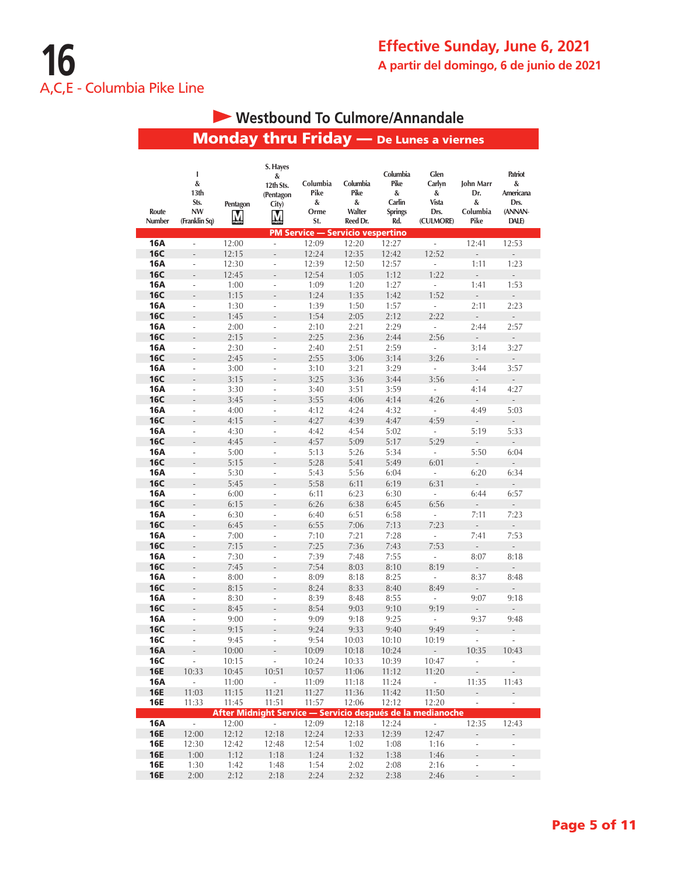# **Westbound To Culmore/Annandale**

Monday thru Friday — De Lunes a viernes

|                          | I<br>&<br>13th                     |               | S. Hayes<br>&<br>12th Sts.<br>(Pentagon | Columbia<br>Pike                        | Columbia<br>Pike        | Columbia<br>Pike<br>&           | Glen<br>Carlyn<br>&                                        | John Marr<br>Dr.            | Patriot<br>&<br>Americana        |
|--------------------------|------------------------------------|---------------|-----------------------------------------|-----------------------------------------|-------------------------|---------------------------------|------------------------------------------------------------|-----------------------------|----------------------------------|
| Route<br>Number          | Sts.<br><b>NW</b><br>(Franklin Sq) | Pentagon<br>M | City)<br>M                              | &<br>Orme<br>St.                        | &<br>Walter<br>Reed Dr. | Carlin<br><b>Springs</b><br>Rd. | Vista<br>Drs.<br>(CULMORE)                                 | &<br>Columbia<br>Pike       | Drs.<br>(ANNAN-<br>DALE)         |
|                          |                                    |               |                                         | <b>PM Service - Servicio vespertino</b> |                         |                                 |                                                            |                             |                                  |
| 16A                      | $\overline{\phantom{a}}$           | 12:00         | $\overline{\phantom{a}}$                | 12:09                                   | 12:20                   | 12:27                           | i,                                                         | 12:41                       | 12:53                            |
| <b>16C</b>               | ÷,                                 | 12:15         | $\overline{a}$                          | 12:24                                   | 12:35                   | 12:42                           | 12:52                                                      | $\overline{a}$              | $\overline{a}$                   |
| 16A                      | ä,                                 | 12:30         | ÷,                                      | 12:39                                   | 12:50                   | 12:57                           | $\overline{a}$                                             | 1:11                        | 1:23                             |
| <b>16C</b>               | $\overline{a}$                     | 12:45         |                                         | 12:54                                   | 1:05                    | 1:12                            | 1:22                                                       | $\overline{a}$              | L,                               |
| 16A                      | ÷,                                 | 1:00          | ÷,                                      | 1:09                                    | 1:20                    | 1:27                            | L                                                          | 1:41                        | 1:53                             |
| <b>16C</b><br><b>16A</b> | $\overline{a}$                     | 1:15          | L.                                      | 1:24<br>1:39                            | 1:35<br>1:50            | 1:42<br>1:57                    | 1:52<br>$\overline{\phantom{a}}$                           | $\overline{a}$<br>2:11      | $\overline{\phantom{a}}$<br>2:23 |
| <b>16C</b>               | ÷,<br>$\overline{\phantom{m}}$     | 1:30<br>1:45  | $\frac{1}{2}$<br>$\frac{1}{2}$          | 1:54                                    | 2:05                    | 2:12                            | 2:22                                                       | $\frac{1}{2}$               | ÷,                               |
| 16A                      | ÷,                                 | 2:00          | ÷,                                      | 2:10                                    | 2:21                    | 2:29                            | ä,                                                         | 2:44                        | 2:57                             |
| <b>16C</b>               | ÷,                                 | 2:15          | $\overline{a}$                          | 2:25                                    | 2:36                    | 2:44                            | 2:56                                                       | $\overline{\phantom{a}}$    |                                  |
| 16A                      | ÷,                                 | 2:30          | L.                                      | 2:40                                    | 2:51                    | 2:59                            | ÷,                                                         | 3:14                        | 3:27                             |
| <b>16C</b>               | $\overline{a}$                     | 2:45          | $\overline{a}$                          | 2:55                                    | 3:06                    | 3:14                            | 3:26                                                       | $\overline{a}$              | $\overline{\phantom{a}}$         |
| 16A                      | $\overline{\phantom{a}}$           | 3:00          | $\overline{\phantom{a}}$                | 3:10                                    | 3:21                    | 3:29                            | ÷,                                                         | 3:44                        | 3:57                             |
| <b>16C</b>               | $\frac{1}{2}$                      | 3:15          | $\overline{a}$                          | 3:25                                    | 3:36                    | 3:44                            | 3:56                                                       | $\overline{a}$              | $\overline{\phantom{a}}$         |
| 16A                      | $\overline{\phantom{a}}$           | 3:30          | $\overline{\phantom{a}}$                | 3:40                                    | 3:51                    | 3:59                            | i,                                                         | 4:14                        | 4:27                             |
| <b>16C</b>               | ÷,                                 | 3:45          | $\overline{a}$                          | 3:55                                    | 4:06                    | 4:14                            | 4:26                                                       | $\overline{a}$              | $\overline{a}$                   |
| 16A                      | L,                                 | 4:00          | $\frac{1}{2}$                           | 4:12                                    | 4:24                    | 4:32                            | ÷,                                                         | 4:49                        | 5:03                             |
| <b>16C</b>               |                                    | 4:15          |                                         | 4:27                                    | 4:39                    | 4:47                            | 4:59                                                       | $\overline{a}$              | $\overline{\phantom{a}}$         |
| 16A                      | ÷,                                 | 4:30          | ÷,                                      | 4:42                                    | 4:54                    | 5:02                            | $\overline{a}$                                             | 5:19                        | 5:33                             |
| <b>16C</b>               | $\frac{1}{2}$                      | 4:45          | $\overline{a}$                          | 4:57                                    | 5:09                    | 5:17                            | 5:29                                                       | $\overline{a}$              | $\overline{\phantom{a}}$         |
| 16A                      | ÷,                                 | 5:00          | $\overline{\phantom{0}}$                | 5:13                                    | 5:26                    | 5:34                            | ÷                                                          | 5:50                        | 6:04                             |
| <b>16C</b>               | ÷,                                 | 5:15          | $\overline{a}$                          | 5:28                                    | 5:41                    | 5:49                            | 6:01                                                       |                             |                                  |
| 16A                      | ÷.                                 | 5:30          | L.                                      | 5:43                                    | 5:56                    | 6:04                            | ä,                                                         | 6:20                        | 6:34                             |
| <b>16C</b>               | ÷,                                 | 5:45          | $\overline{a}$                          | 5:58                                    | 6:11                    | 6:19                            | 6:31                                                       | $\overline{\phantom{a}}$    |                                  |
| 16A                      | ÷,                                 | 6:00          | ÷,                                      | 6:11                                    | 6:23                    | 6:30                            | ä,                                                         | 6:44                        | 6:57                             |
| <b>16C</b>               | $\overline{a}$                     | 6:15          | $\overline{a}$                          | 6:26                                    | 6:38                    | 6:45                            | 6:56                                                       | $\overline{a}$              | $\blacksquare$                   |
| 16A                      | ÷,                                 | 6:30          | $\blacksquare$                          | 6:40                                    | 6:51                    | 6:58                            | $\overline{\phantom{a}}$                                   | 7:11                        | 7:23                             |
| <b>16C</b>               |                                    | 6:45          | $\overline{a}$                          | 6:55                                    | 7:06                    | 7:13                            | 7:23                                                       | $\overline{\phantom{0}}$    | $\overline{\phantom{a}}$         |
| <b>16A</b>               | ÷,                                 | 7:00          | ÷,                                      | 7:10                                    | 7:21                    | 7:28                            | i,                                                         | 7:41                        | 7:53                             |
| <b>16C</b>               | ÷,                                 | 7:15          |                                         | 7:25                                    | 7:36                    | 7:43                            | 7:53                                                       | $\overline{a}$              | $\overline{a}$                   |
| 16A                      | $\overline{a}$                     | 7:30          | $\overline{a}$                          | 7:39                                    | 7:48                    | 7:55                            | ÷,                                                         | 8:07                        | 8:18                             |
| <b>16C</b>               | L.                                 | 7:45          | L.                                      | 7:54                                    | 8:03                    | 8:10                            | 8:19                                                       | $\overline{a}$              | $\overline{\phantom{a}}$         |
| 16A                      | ÷,                                 | 8:00          | $\frac{1}{2}$                           | 8:09                                    | 8:18                    | 8:25                            | $\overline{\phantom{a}}$                                   | 8:37                        | 8:48                             |
| <b>16C</b>               |                                    | 8:15          |                                         | 8:24                                    | 8:33                    | 8:40                            | 8:49                                                       | $\overline{a}$              | ÷,                               |
| 16A                      | ÷,                                 | 8:30          | $\frac{1}{2}$                           | 8:39                                    | 8:48                    | 8:55                            | ÷,                                                         | 9:07                        | 9:18                             |
| <b>16C</b><br>16A        | $\overline{a}$<br>÷,               | 8:45          | $\overline{\phantom{a}}$<br>L.          | 8:54                                    | 9:03                    | 9:10<br>9:25                    | 9:19<br>ä,                                                 | 9:37                        | 9:48                             |
| <b>16C</b>               |                                    | 9:00<br>9:15  |                                         | 9:09<br>9:24                            | 9:18<br>9:33            | 9:40                            | 9:49                                                       | $\overline{a}$              |                                  |
| <b>16C</b>               | ÷,                                 | 9:45          | ÷,                                      | 9:54                                    | 10:03                   | 10:10                           | 10:19                                                      | $\overline{a}$              |                                  |
| <b>16A</b>               | $\frac{1}{2}$                      | 10:00         |                                         | 10:09                                   | 10:18                   | 10:24                           | $\overline{a}$                                             | 10:35                       | 10:43                            |
| <b>16C</b>               | ÷.                                 | 10:15         | ÷.                                      | 10:24                                   | 10:33                   | 10:39                           | 10:47                                                      | $\overline{\phantom{a}}$    | $\overline{\phantom{a}}$         |
| <b>16E</b>               | 10:33                              | 10:45         | 10:51                                   | 10:57                                   | 11:06                   | 11:12                           | 11:20                                                      | $\overline{\phantom{a}}$    | $\overline{\phantom{a}}$         |
| <b>16A</b>               | ÷.                                 | 11:00         | ä,                                      | 11:09                                   | 11:18                   | 11:24                           | $\omega$                                                   | 11:35                       | 11:43                            |
| <b>16E</b>               | 11:03                              | 11:15         | 11:21                                   | 11:27                                   | 11:36                   | 11:42                           | 11:50                                                      | $\mathcal{L}_{\mathcal{A}}$ | $\mathcal{L}_{\mathcal{A}}$      |
| <b>16E</b>               | 11:33                              | 11:45         | 11:51                                   | 11:57                                   | 12:06                   | 12:12                           | 12:20                                                      | $\overline{a}$              | $\omega$                         |
|                          |                                    |               |                                         |                                         |                         |                                 | After Midnight Service - Servicio después de la medianoche |                             |                                  |
| <b>16A</b>               | $\mathbb{Z}^{\mathbb{Z}}$          | 12:00         | $\overline{\phantom{a}}$                | 12:09                                   | 12:18                   | 12:24                           | $\overline{\phantom{a}}$                                   | 12:35                       | 12:43                            |
| <b>16E</b>               | 12:00                              | 12:12         | 12:18                                   | 12:24                                   | 12:33                   | 12:39                           | 12:47                                                      | $\blacksquare$              | $\Box$                           |
| <b>16E</b>               | 12:30                              | 12:42         | 12:48                                   | 12:54                                   | 1:02                    | 1:08                            | 1:16                                                       | ÷,                          | $\overline{\phantom{a}}$         |
| <b>16E</b>               | 1:00                               | 1:12          | 1:18                                    | 1:24                                    | 1:32                    | 1:38                            | 1:46                                                       |                             |                                  |
| <b>16E</b>               | 1:30                               | 1:42          | 1:48                                    | 1:54                                    | 2:02                    | 2:08                            | 2:16                                                       |                             | ÷,                               |
| <b>16E</b>               | 2:00                               | 2:12          | 2:18                                    | 2:24                                    | 2:32                    | 2:38                            | 2:46                                                       | $\overline{a}$              | $\overline{\phantom{a}}$         |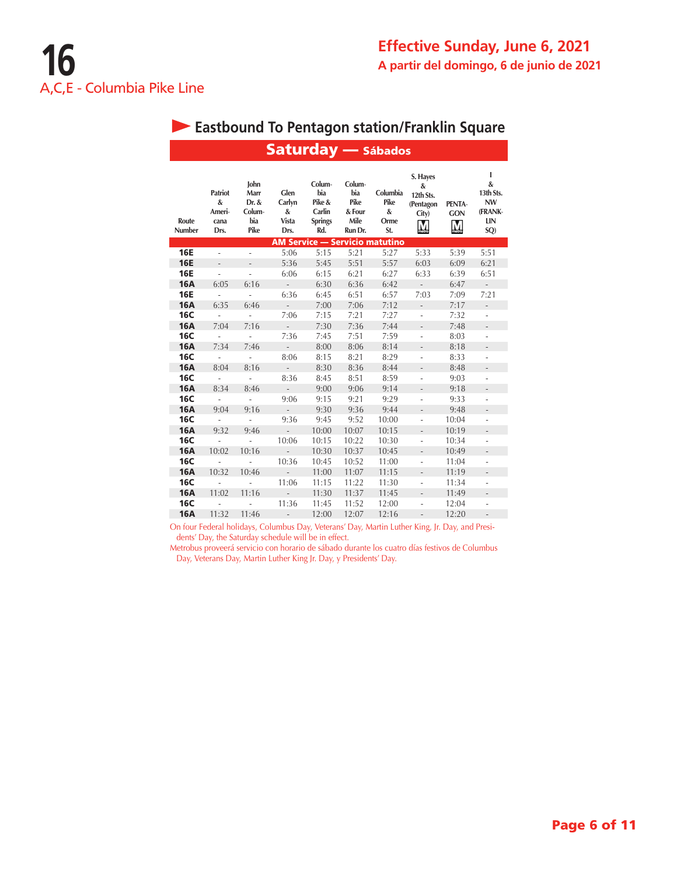#### Saturday — Sábados **I S. Hayes John Colum**-**Colum**-**& & Patriot Marr Glen bia bia Columbia 13th Sts. 12th Sts. Dr. & Carlyn Pike & Pike Pike NW & PENTA**-**(Pentagon Ameri**-**Colum**-**& Carlin & Four & (FRANK**-**GON City) Route cana bia Vista Springs Mile Orme LIN**  $\overline{M}$ **Number Drs. Pike Drs. Rd. Run Dr. St. SQ) M Service — Servicio matutino 16E** - - 5:06 5:15 5:21 5:27 5:33 5:39 5:51 **16E** - - 5:36 5:45 5:51 5:57 6:03 6:09 6:21 **16E** - - 6:06 6:15 6:21 6:27 6:33 6:39 6:51 16A 6:05 6:16 - 6:30 6:36 6:42 - 6:47 - **16E** - - 6:36 6:45 6:51 6:57 7:03 7:09 7:21 **16A** 6:35 6:46 - 7:00 7:06 7:12 - 7:17 -**16C** - - 7:06 7:15 7:21 7:27 - 7:32 - 16A 7:04 7:16 - 7:30 7:36 7:44 - 7:48 - **16C** - - 7:36 7:45 7:51 7:59 - 8:03 - 16A 7:34 7:46 - 8:00 8:06 8:14 - 8:18 - **16C** - - 8:06 8:15 8:21 8:29 - 8:33 -**16A** 8:04 8:16 - 8:30 8:36 8:44 - 8:48 -**16C** - - 8:36 8:45 8:51 8:59 - 9:03 -**16A** 8:34 8:46 - 9:00 9:06 9:14 - 9:18 -**16C** - - 9:06 9:15 9:21 9:29 - 9:33 - 16A 9:04 9:16 - 9:30 9:36 9:44 - 9:48 - **16C** - - 9:36 9:45 9:52 10:00 - 10:04 -**16A** 9:32 9:46 - 10:00 10:07 10:15 - 10:19 -**16C** - - 10:06 10:15 10:22 10:30 - 10:34 -**16A** 10:02 10:16 - 10:30 10:37 10:45 - 10:49 -**16C** - - 10:36 10:45 10:52 11:00 - 11:04 -**16A** 10:32 10:46 - 11:00 11:07 11:15 - 11:19 -**16C** - - 11:06 11:15 11:22 11:30 - 11:34 -**16A** 11:02 11:16 - 11:30 11:37 11:45 - 11:49 -**16C** - - 11:36 11:45 11:52 12:00 - 12:04 -**16A** 11:32 11:46 - 12:00 12:07 12:16 - 12:20 -

On four Federal holidays, Columbus Day, Veterans' Day, Martin Luther King, Jr. Day, and Presidents' Day, the Saturday schedule will be in effect.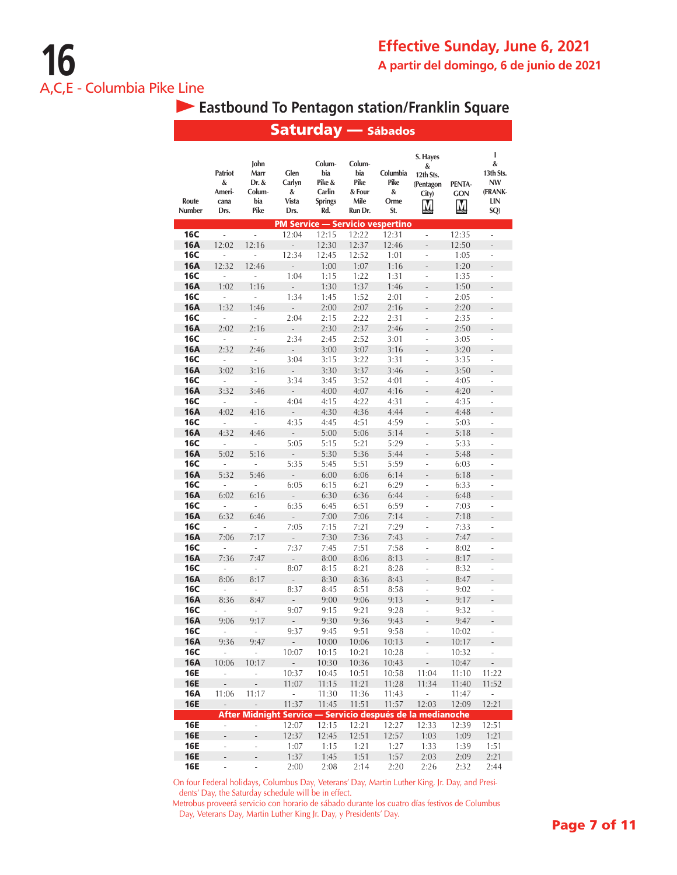|                          |                                               |                                                | <b>Saturday</b> — Sábados                                  |                                                            |                                                    |                                         |                                                  |                           |                                                           |
|--------------------------|-----------------------------------------------|------------------------------------------------|------------------------------------------------------------|------------------------------------------------------------|----------------------------------------------------|-----------------------------------------|--------------------------------------------------|---------------------------|-----------------------------------------------------------|
| Route<br>Number          | <b>Patriot</b><br>&<br>Ameri-<br>cana<br>Drs. | John<br>Marr<br>Dr. &<br>Colum-<br>bia<br>Pike | Glen<br>Carlyn<br>&<br>Vista<br>Drs.                       | Colum-<br>bia<br>Pike &<br>Carlin<br><b>Springs</b><br>Rd. | Colum-<br>bia<br>Pike<br>& Four<br>Mile<br>Run Dr. | Columbia<br>Pike<br>&<br>Orme<br>St.    | S. Hayes<br>&<br>12th Sts.<br>(Pentagon<br>City) | PENTA-<br><b>GON</b><br>M | I<br>&<br>13th Sts.<br><b>NW</b><br>(FRANK-<br>LIN<br>SQ) |
|                          |                                               |                                                |                                                            |                                                            |                                                    | <b>PM Service - Servicio vespertino</b> |                                                  |                           |                                                           |
| 16C                      | L,                                            | $\overline{\phantom{a}}$                       | 12:04                                                      | 12:15                                                      | 12:22                                              | 12:31                                   | L,                                               | 12:35                     | L                                                         |
| <b>16A</b><br>16C        | 12:02<br>÷,                                   | 12:16<br>÷,                                    | $\overline{a}$<br>12:34                                    | 12:30<br>12:45                                             | 12:37<br>12:52                                     | 12:46<br>1:01                           | L,                                               | 12:50<br>1:05             | $\overline{a}$<br>÷,                                      |
| <b>16A</b>               | 12:32                                         | 12:46                                          |                                                            | 1:00                                                       | 1:07                                               | 1:16                                    |                                                  | 1:20                      | $\overline{a}$                                            |
| 16C                      | ÷,                                            | ÷,                                             | 1:04                                                       | 1:15                                                       | 1:22                                               | 1:31                                    | i,                                               | 1:35                      | i,                                                        |
| <b>16A</b>               | 1:02                                          | 1:16                                           | $\overline{a}$                                             | 1:30                                                       | 1:37                                               | 1:46                                    | L.                                               | 1:50                      | $\overline{a}$                                            |
| 16C                      | ÷,                                            | L,                                             | 1:34                                                       | 1:45                                                       | 1:52                                               | 2:01                                    | ÷,                                               | 2:05                      | ÷,                                                        |
| 16A                      | 1:32                                          | 1:46                                           | $\overline{a}$                                             | 2:00                                                       | 2:07                                               | 2:16                                    |                                                  | 2:20                      |                                                           |
| 16C                      | L,                                            | $\overline{a}$                                 | 2:04                                                       | 2:15                                                       | 2:22                                               | 2:31                                    | ÷,                                               | 2:35                      | i,                                                        |
| <b>16A</b>               | 2:02                                          | 2:16                                           | $\overline{a}$                                             | 2:30                                                       | 2:37                                               | 2:46                                    |                                                  | 2:50                      | $\overline{a}$                                            |
| 16C                      | ÷                                             | $\overline{a}$                                 | 2:34                                                       | 2:45                                                       | 2:52                                               | 3:01                                    | ÷,                                               | 3:05                      | ÷,                                                        |
| <b>16A</b>               | 2:32                                          | 2:46                                           | $\overline{a}$                                             | 3:00                                                       | 3:07                                               | 3:16                                    |                                                  | 3:20                      |                                                           |
| 16C<br><b>16A</b>        | $\overline{a}$                                | $\overline{a}$                                 | 3:04                                                       | 3:15                                                       | 3:22                                               | 3:31                                    | ÷,<br>L.                                         | 3:35                      | ÷,                                                        |
| 16C                      | 3:02<br>$\overline{\phantom{a}}$              | 3:16<br>$\overline{a}$                         | ÷,<br>3:34                                                 | 3:30<br>3:45                                               | 3:37<br>3:52                                       | 3:46<br>4:01                            | ÷,                                               | 3:50<br>4:05              | $\overline{a}$<br>÷,                                      |
| <b>16A</b>               | 3:32                                          | 3:46                                           | $\overline{a}$                                             | 4:00                                                       | 4:07                                               | 4:16                                    |                                                  | 4:20                      | $\overline{a}$                                            |
| 16C                      | $\overline{\phantom{a}}$                      | ÷,                                             | 4:04                                                       | 4:15                                                       | 4:22                                               | 4:31                                    | L.                                               | 4:35                      | L,                                                        |
| <b>16A</b>               | 4:02                                          | 4:16                                           |                                                            | 4:30                                                       | 4:36                                               | 4:44                                    |                                                  | 4:48                      | $\overline{a}$                                            |
| <b>16C</b>               | $\overline{\phantom{a}}$                      | L                                              | 4:35                                                       | 4:45                                                       | 4:51                                               | 4:59                                    | $\overline{a}$                                   | 5:03                      | Ĭ.                                                        |
| <b>16A</b>               | 4:32                                          | 4:46                                           | $\overline{a}$                                             | 5:00                                                       | 5:06                                               | 5:14                                    | $\overline{a}$                                   | 5:18                      | $\overline{a}$                                            |
| 16C                      | ÷                                             | ÷                                              | 5:05                                                       | 5:15                                                       | 5:21                                               | 5:29                                    | i,                                               | 5:33                      | Ĭ.                                                        |
| <b>16A</b>               | 5:02                                          | 5:16                                           | $\overline{a}$                                             | 5:30                                                       | 5:36                                               | 5:44                                    | $\overline{a}$                                   | 5:48                      | $\overline{a}$                                            |
| <b>16C</b>               | ÷                                             | $\overline{a}$                                 | 5:35                                                       | 5:45                                                       | 5:51                                               | 5:59                                    | ÷,                                               | 6:03                      | ÷,                                                        |
| <b>16A</b>               | 5:32                                          | 5:46                                           | $\overline{a}$                                             | 6:00                                                       | 6:06                                               | 6:14                                    | L.                                               | 6:18                      | L                                                         |
| 16C                      | L,                                            | $\overline{a}$                                 | 6:05                                                       | 6:15                                                       | 6:21                                               | 6:29                                    | $\overline{a}$<br>L.                             | 6:33                      | $\overline{a}$                                            |
| <b>16A</b><br><b>16C</b> | 6:02<br>$\overline{a}$                        | 6:16<br>$\overline{a}$                         | $\overline{a}$<br>6:35                                     | 6:30<br>6:45                                               | 6:36<br>6:51                                       | 6:44<br>6:59                            | i,                                               | 6:48<br>7:03              | $\overline{a}$<br>i,                                      |
| <b>16A</b>               | 6:32                                          | 6:46                                           | ÷                                                          | 7:00                                                       | 7:06                                               | 7:14                                    | $\overline{\phantom{0}}$                         | 7:18                      | $\overline{a}$                                            |
| <b>16C</b>               | $\overline{\phantom{a}}$                      | $\overline{a}$                                 | 7:05                                                       | 7:15                                                       | 7:21                                               | 7:29                                    | ÷,                                               | 7:33                      | ÷                                                         |
| <b>16A</b>               | 7:06                                          | 7:17                                           | $\overline{a}$                                             | 7:30                                                       | 7:36                                               | 7:43                                    |                                                  | 7:47                      | $\overline{a}$                                            |
| 16C                      | ÷,                                            | $\frac{1}{2}$                                  | 7:37                                                       | 7:45                                                       | 7:51                                               | 7:58                                    |                                                  | 8:02                      | $\overline{a}$                                            |
| <b>16A</b>               | 7:36                                          | 7:47                                           |                                                            | 8:00                                                       | 8:06                                               | 8:13                                    |                                                  | 8:17                      |                                                           |
| 16C                      | ÷,                                            | $\overline{a}$                                 | 8:07                                                       | 8:15                                                       | 8:21                                               | 8:28                                    | ÷,                                               | 8:32                      | L,                                                        |
| <b>16A</b>               | 8:06                                          | 8:17                                           | ÷,                                                         | 8:30                                                       | 8:36                                               | 8:43                                    | $\overline{a}$                                   | 8:47                      | $\overline{a}$                                            |
| <b>16C</b><br><b>16A</b> | i,                                            | ÷,<br>8:47                                     | 8:37<br>$\overline{a}$                                     | 8:45                                                       | 8:51                                               | 8:58                                    | ÷<br>L.                                          | 9:02                      | $\overline{\phantom{0}}$<br>$\overline{a}$                |
| <b>16C</b>               | 8:36<br>÷,                                    | $\overline{a}$                                 | 9:07                                                       | 9:00<br>9:15                                               | 9:06<br>9:21                                       | 9:13<br>9:28                            | ÷,                                               | 9:17<br>9:32              | ÷,                                                        |
| 16A                      | 9:06                                          | 9:17                                           |                                                            | 9:30                                                       | 9:36                                               | 9:43                                    |                                                  | 9:4/                      |                                                           |
| <b>16C</b>               | $\overline{\phantom{a}}$                      | $\overline{a}$                                 | 9:37                                                       | 9:45                                                       | 9:51                                               | 9:58                                    | i,                                               | 10:02                     | ÷,                                                        |
| <b>16A</b>               | 9:36                                          | 9:47                                           | $\frac{1}{2}$                                              | 10:00                                                      | 10:06                                              | 10:13                                   |                                                  | 10:17                     |                                                           |
| 16C                      | i,                                            | $\overline{a}$                                 | 10:07                                                      | 10:15                                                      | 10:21                                              | 10:28                                   | ÷,                                               | 10:32                     |                                                           |
| <b>16A</b>               | 10:06                                         | 10:17                                          | $\overline{\phantom{a}}$                                   | 10:30                                                      | 10:36                                              | 10:43                                   |                                                  | 10:47                     |                                                           |
| 16E                      | $\overline{\phantom{a}}$                      | $\overline{a}$                                 | 10:37                                                      | 10:45                                                      | 10:51                                              | 10:58                                   | 11:04                                            | 11:10                     | 11:22                                                     |
| <b>16E</b><br><b>16A</b> | 11:06                                         | 11:17                                          | 11:07<br>$\overline{\phantom{a}}$                          | 11:15<br>11:30                                             | 11:21<br>11:36                                     | 11:28                                   | 11:34<br>ä,                                      | 11:40                     | 11:52                                                     |
| <b>16E</b>               | $\frac{1}{2}$                                 | ÷,                                             | 11:37                                                      | 11:45                                                      | 11:51                                              | 11:43<br>11:57                          | 12:03                                            | 11:47<br>12:09            | $\overline{\phantom{a}}$<br>12:21                         |
|                          |                                               |                                                | After Midnight Service - Servicio después de la medianoche |                                                            |                                                    |                                         |                                                  |                           |                                                           |
| <b>16E</b>               | ÷,                                            | ÷                                              | 12:07                                                      | 12:15                                                      | 12:21                                              | 12:27                                   | 12:33                                            | 12:39                     | 12:51                                                     |
| <b>16E</b>               | $\overline{a}$                                |                                                | 12:37                                                      | 12:45                                                      | 12:51                                              | 12:57                                   | 1:03                                             | 1:09                      | 1:21                                                      |
| <b>16E</b>               | $\frac{1}{2}$                                 | ÷                                              | 1:07                                                       | 1:15                                                       | 1:21                                               | 1:27                                    | 1:33                                             | 1:39                      | 1:51                                                      |
| <b>16E</b>               |                                               |                                                | 1:37                                                       | 1:45                                                       | 1:51                                               | 1:57                                    | 2:03                                             | 2:09                      | 2:21                                                      |
| <b>16E</b>               | $\overline{a}$                                | L                                              | 2:00                                                       | 2:08                                                       | 2:14                                               | 2:20                                    | 2:26                                             | 2:32                      | 2:44                                                      |

On four Federal holidays, Columbus Day, Veterans' Day, Martin Luther King, Jr. Day, and Presidents' Day, the Saturday schedule will be in effect.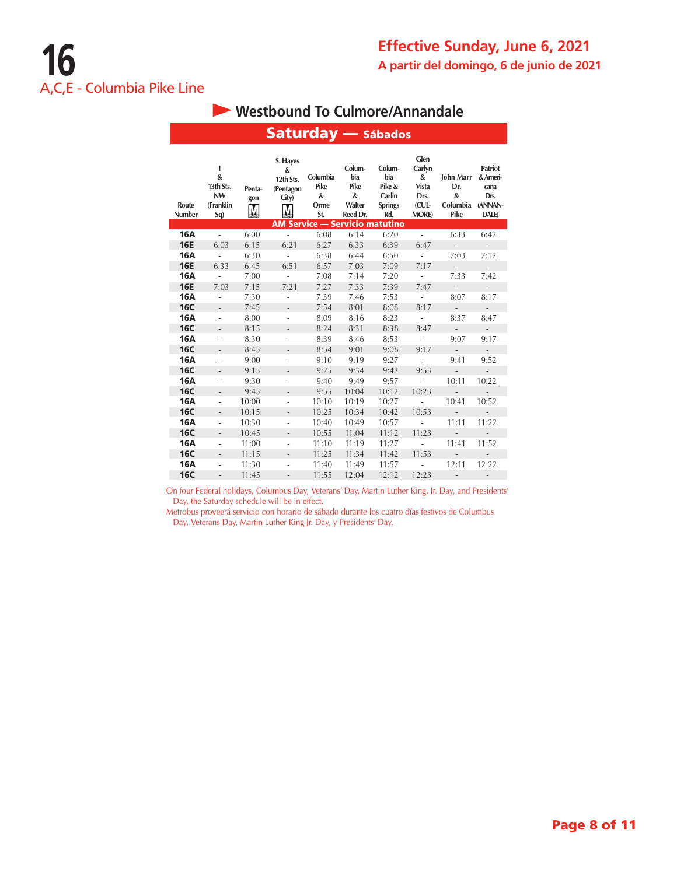### **Westbound To Culmore/Annandale**

Saturday —

|                 |                                                         |                    | Jatul uay                                              |                                      |                                                  | <b>Sabauos</b>                                             |                                                                       |                                           |                                                                |
|-----------------|---------------------------------------------------------|--------------------|--------------------------------------------------------|--------------------------------------|--------------------------------------------------|------------------------------------------------------------|-----------------------------------------------------------------------|-------------------------------------------|----------------------------------------------------------------|
| Route<br>Number | T<br>&<br>13th Sts.<br><b>NW</b><br>(Franklin<br>$Sq$ ) | Penta-<br>gon<br>M | S. Hayes<br>&<br>12th Sts.<br>(Pentagon<br>City)<br>M. | Columbia<br>Pike<br>&<br>Orme<br>St. | Colum-<br>bia<br>Pike<br>&<br>Walter<br>Reed Dr. | Colum-<br>bia<br>Pike &<br>Carlin<br><b>Springs</b><br>Rd. | Glen<br>Carlyn<br>&<br><b>Vista</b><br>Drs.<br>(CUL-<br><b>MORE</b> ) | John Marr<br>Dr.<br>&<br>Columbia<br>Pike | <b>Patriot</b><br>& Ameri-<br>cana<br>Drs.<br>(ANNAN-<br>DALE) |
|                 |                                                         |                    |                                                        |                                      |                                                  | <b>AM Service - Servicio matutino</b>                      |                                                                       |                                           |                                                                |
| <b>16A</b>      | ä,                                                      | 6:00               | $\overline{\phantom{a}}$                               | 6:08                                 | 6:14                                             | 6:20                                                       | $\omega$                                                              | 6:33                                      | 6:42                                                           |
| <b>16E</b>      | 6:03                                                    | 6:15               | 6:21                                                   | 6:27                                 | 6:33                                             | 6:39                                                       | 6:47                                                                  | $\mathcal{L}^{\pm}$                       | $\mathcal{L}_{\mathcal{A}}$                                    |
| <b>16A</b>      | $\overline{\phantom{a}}$                                | 6:30               | $\overline{\phantom{a}}$                               | 6:38                                 | 6:44                                             | 6:50                                                       | $\overline{\phantom{a}}$                                              | 7:03                                      | 7:12                                                           |
| <b>16E</b>      | 6:33                                                    | 6:45               | 6:51                                                   | 6:57                                 | 7:03                                             | 7:09                                                       | 7:17                                                                  | $\overline{\phantom{a}}$                  | $\overline{\phantom{a}}$                                       |
| <b>16A</b>      | $\overline{\phantom{a}}$                                | 7:00               | ÷                                                      | 7:08                                 | 7:14                                             | 7:20                                                       | $\overline{\phantom{a}}$                                              | 7:33                                      | 7:42                                                           |
| <b>16E</b>      | 7:03                                                    | 7:15               | 7:21                                                   | 7:27                                 | 7:33                                             | 7:39                                                       | 7:47                                                                  | $\overline{\phantom{a}}$                  | $\overline{\phantom{a}}$                                       |
| <b>16A</b>      | $\overline{\phantom{0}}$                                | 7:30               | ÷                                                      | 7:39                                 | 7:46                                             | 7:53                                                       | ÷                                                                     | 8:07                                      | 8:17                                                           |
| <b>16C</b>      | $\overline{\phantom{0}}$                                | 7:45               | $\overline{\phantom{0}}$                               | 7:54                                 | 8:01                                             | 8:08                                                       | 8:17                                                                  | $\overline{\phantom{a}}$                  | $\frac{1}{2}$                                                  |
| <b>16A</b>      | ä,                                                      | 8:00               | ÷,                                                     | 8:09                                 | 8:16                                             | 8:23                                                       | $\overline{\phantom{a}}$                                              | 8:37                                      | 8:47                                                           |
| <b>16C</b>      | $\overline{a}$                                          | 8:15               | $\overline{a}$                                         | 8:24                                 | 8:31                                             | 8:38                                                       | 8:47                                                                  | $\mathcal{L}^{\pm}$                       | $\mathcal{L}^{\pm}$                                            |
| <b>16A</b>      | ä,                                                      | 8:30               | $\overline{\phantom{0}}$                               | 8:39                                 | 8:46                                             | 8:53                                                       | $\overline{\phantom{a}}$                                              | 9:07                                      | 9:17                                                           |
| <b>16C</b>      | $\overline{a}$                                          | 8:45               | $\overline{\phantom{0}}$                               | 8:54                                 | 9:01                                             | 9:08                                                       | 9:17                                                                  | $\overline{\phantom{a}}$                  | $\frac{1}{2}$                                                  |
| <b>16A</b>      | ä,                                                      | 9:00               | ÷,                                                     | 9:10                                 | 9:19                                             | 9:27                                                       | ÷                                                                     | 9:41                                      | 9:52                                                           |
| <b>16C</b>      | $\overline{a}$                                          | 9:15               |                                                        | 9:25                                 | 9:34                                             | 9:42                                                       | 9:53                                                                  | $\overline{\phantom{0}}$                  | $\overline{\phantom{a}}$                                       |
| <b>16A</b>      | ÷                                                       | 9:30               | $\overline{\phantom{0}}$                               | 9:40                                 | 9:49                                             | 9:57                                                       | ÷                                                                     | 10:11                                     | 10:22                                                          |
| <b>16C</b>      |                                                         | 9:45               | $\overline{\phantom{0}}$                               | 9:55                                 | 10:04                                            | 10:12                                                      | 10:23                                                                 | $\overline{a}$                            |                                                                |
| <b>16A</b>      | $\overline{a}$                                          | 10:00              | ÷,                                                     | 10:10                                | 10:19                                            | 10:27                                                      | $\overline{a}$                                                        | 10:41                                     | 10:52                                                          |
| <b>16C</b>      | $\frac{1}{2}$                                           | 10:15              | $\overline{a}$                                         | 10:25                                | 10:34                                            | 10:42                                                      | 10:53                                                                 | $\mathbb{R}^2$                            | $\mathcal{L}_{\mathcal{A}}$                                    |
| <b>16A</b>      | ÷                                                       | 10:30              | $\frac{1}{2}$                                          | 10:40                                | 10:49                                            | 10:57                                                      | $\overline{\phantom{a}}$                                              | 11:11                                     | 11:22                                                          |
| <b>16C</b>      | $\frac{1}{2}$                                           | 10:45              | $\overline{\phantom{0}}$                               | 10:55                                | 11:04                                            | 11:12                                                      | 11:23                                                                 | $\overline{a}$                            |                                                                |
| <b>16A</b>      | $\overline{a}$                                          | 11:00              | ÷,                                                     | 11:10                                | 11:19                                            | 11:27                                                      | L.                                                                    | 11:41                                     | 11:52                                                          |
| <b>16C</b>      | $\overline{a}$                                          | 11:15              |                                                        | 11:25                                | 11:34                                            | 11:42                                                      | 11:53                                                                 | $\overline{a}$                            | $\overline{a}$                                                 |
| <b>16A</b>      | $\overline{\phantom{0}}$                                | 11:30              |                                                        | 11:40                                | 11:49                                            | 11:57                                                      | $\frac{1}{2}$                                                         | 12:11                                     | 12:22                                                          |
| <b>16C</b>      |                                                         | 11:45              |                                                        | 11:55                                | 12:04                                            | 12:12                                                      | 12:23                                                                 | $\overline{\phantom{m}}$                  |                                                                |

On four Federal holidays, Columbus Day, Veterans' Day, Martin Luther King, Jr. Day, and Presidents' Day, the Saturday schedule will be in effect.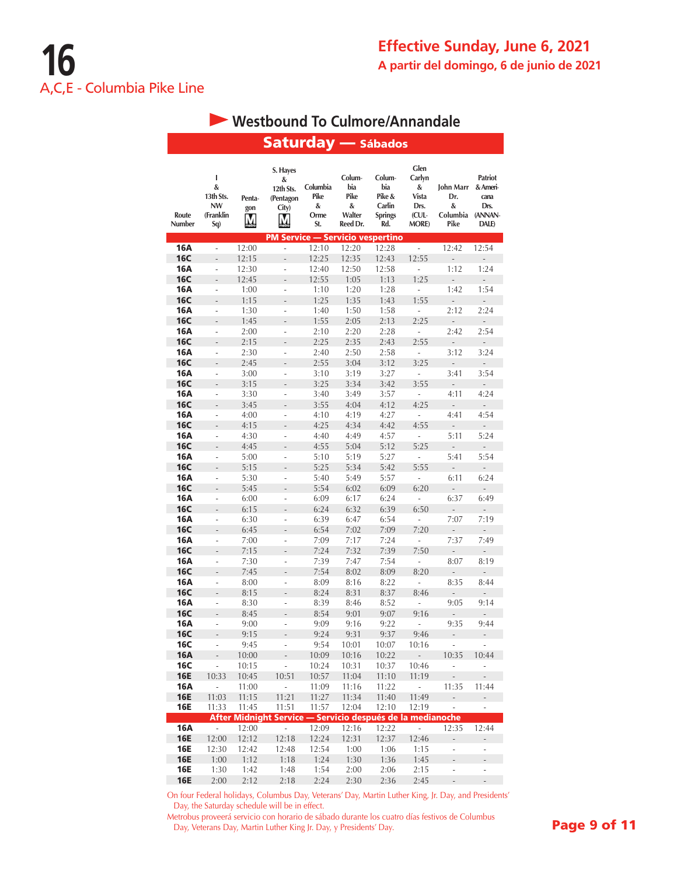|                          |                                                      |                    | <b>Saturday — Sábados</b>                                  |                                      |                                                  |                                                            |                                                                       |                                           |                                                                |
|--------------------------|------------------------------------------------------|--------------------|------------------------------------------------------------|--------------------------------------|--------------------------------------------------|------------------------------------------------------------|-----------------------------------------------------------------------|-------------------------------------------|----------------------------------------------------------------|
|                          |                                                      |                    |                                                            |                                      |                                                  |                                                            |                                                                       |                                           |                                                                |
| Route<br>Number          | L<br>&<br>13th Sts.<br><b>NW</b><br>(Franklin<br>Sq) | Penta-<br>gon<br>M | S. Hayes<br>&<br>12th Sts.<br>(Pentagon<br>City)<br>М      | Columbia<br>Pike<br>&<br>Orme<br>St. | Colum-<br>bia<br>Pike<br>&<br>Walter<br>Reed Dr. | Colum-<br>bia<br>Pike &<br>Carlin<br><b>Springs</b><br>Rd. | Glen<br>Carlyn<br>&<br><b>Vista</b><br>Drs.<br>(CUL-<br><b>MORE</b> ) | John Marr<br>Dr.<br>&<br>Columbia<br>Pike | <b>Patriot</b><br>& Ameri-<br>cana<br>Drs.<br>(ANNAN-<br>DALE) |
|                          |                                                      |                    | <b>PM Service - Servicio vespertino</b>                    |                                      |                                                  |                                                            |                                                                       |                                           |                                                                |
| 16A<br>16C               | L<br>$\overline{a}$                                  | 12:00<br>12:15     | ÷,<br>$\frac{1}{2}$                                        | 12:10<br>12:25                       | 12:20<br>12:35                                   | 12:28<br>12:43                                             | ä,<br>12:55                                                           | 12:42<br>$\overline{a}$                   | 12:54<br>$\frac{1}{2}$                                         |
| 16A                      | i,                                                   | 12:30              | ÷                                                          | 12:40                                | 12:50                                            | 12:58                                                      | ÷,                                                                    | 1:12                                      | 1:24                                                           |
| <b>16C</b>               | $\overline{a}$                                       | 12:45              | L,                                                         | 12:55                                | 1:05                                             | 1:13                                                       | 1:25                                                                  | L,                                        | $\overline{a}$                                                 |
| 16A                      | L.                                                   | 1:00               | ÷,                                                         | 1:10                                 | 1:20                                             | 1:28                                                       | i,                                                                    | 1:42                                      | 1:54                                                           |
| <b>16C</b>               | $\overline{a}$                                       | 1:15               | $\overline{a}$                                             | 1:25                                 | 1:35                                             | 1:43                                                       | 1:55                                                                  | $\overline{a}$                            | $\overline{a}$                                                 |
| 16A                      | ÷,                                                   | 1:30               | $\overline{a}$                                             | 1:40                                 | 1:50                                             | 1:58                                                       | $\overline{a}$                                                        | 2:12                                      | 2:24                                                           |
| <b>16C</b>               | $\overline{a}$                                       | 1:45               | L,                                                         | 1:55                                 | 2:05                                             | 2:13                                                       | 2:25                                                                  | ÷,                                        | $\overline{a}$                                                 |
| 16A                      | i,                                                   | 2:00               | $\overline{a}$                                             | 2:10                                 | 2:20                                             | 2:28                                                       | ÷                                                                     | 2:42                                      | 2:54                                                           |
| <b>16C</b><br>16A        | $\overline{a}$<br>÷,                                 | 2:15<br>2:30       | $\overline{a}$<br>÷,                                       | 2:25<br>2:40                         | 2:35<br>2:50                                     | 2:43<br>2:58                                               | 2:55<br>÷,                                                            | ÷,<br>3:12                                | $\overline{a}$<br>3:24                                         |
| <b>16C</b>               | $\overline{a}$                                       | 2:45               |                                                            | 2:55                                 | 3:04                                             | 3:12                                                       | 3:25                                                                  |                                           |                                                                |
| 16A                      | ÷,                                                   | 3:00               | i,                                                         | 3:10                                 | 3:19                                             | 3:27                                                       | $\frac{1}{2}$                                                         | 3:41                                      | 3:54                                                           |
| <b>16C</b>               | $\overline{a}$                                       | 3:15               | $\overline{a}$                                             | 3:25                                 | 3:34                                             | 3:42                                                       | 3:55                                                                  | $\frac{1}{2}$                             | L,                                                             |
| 16A                      | ÷,                                                   | 3:30               | i,                                                         | 3:40                                 | 3:49                                             | 3:57                                                       | i,                                                                    | 4:11                                      | 4:24                                                           |
| <b>16C</b>               | $\frac{1}{2}$                                        | 3:45               |                                                            | 3:55                                 | 4:04                                             | 4:12                                                       | 4:25                                                                  | $\overline{a}$                            | $\overline{a}$                                                 |
| 16A                      | $\frac{1}{2}$                                        | 4:00               | $\overline{a}$                                             | 4:10                                 | 4:19                                             | 4:27                                                       | $\overline{a}$                                                        | 4:41                                      | 4:54                                                           |
| <b>16C</b>               | ÷                                                    | 4:15               |                                                            | 4:25                                 | 4:34                                             | 4:42                                                       | 4:55                                                                  | $\frac{1}{2}$                             | $\overline{a}$                                                 |
| 16A                      | ä,                                                   | 4:30               | $\overline{a}$                                             | 4:40                                 | 4:49                                             | 4:57                                                       | $\overline{\phantom{a}}$                                              | 5:11                                      | 5:24                                                           |
| <b>16C</b><br>16A        | $\overline{a}$<br>÷,                                 | 4:45               | $\overline{a}$<br>L                                        | 4:55<br>5:10                         | 5:04<br>5:19                                     | 5:12<br>5:27                                               | 5:25<br>L,                                                            | $\overline{a}$<br>5:41                    | $\overline{a}$<br>5:54                                         |
| <b>16C</b>               | $\overline{a}$                                       | 5:00<br>5:15       |                                                            | 5:25                                 | 5:34                                             | 5:42                                                       | 5:55                                                                  | $\overline{a}$                            | $\overline{a}$                                                 |
| 16A                      | ÷                                                    | 5:30               | ÷                                                          | 5:40                                 | 5:49                                             | 5:57                                                       | $\overline{\phantom{0}}$                                              | 6:11                                      | 6:24                                                           |
| <b>16C</b>               | $\overline{a}$                                       | 5:45               | L.                                                         | 5:54                                 | 6:02                                             | 6:09                                                       | 6:20                                                                  | $\overline{a}$                            |                                                                |
| 16A                      | ÷.                                                   | 6:00               | ÷,                                                         | 6:09                                 | 6:17                                             | 6:24                                                       | ÷,                                                                    | 6:37                                      | 6:49                                                           |
| <b>16C</b>               | $\qquad \qquad \blacksquare$                         | 6:15               |                                                            | 6:24                                 | 6:32                                             | 6:39                                                       | 6:50                                                                  |                                           |                                                                |
| 16A                      | ÷.                                                   | 6:30               | i,                                                         | 6:39                                 | 6:47                                             | 6:54                                                       | ÷,                                                                    | 7:07                                      | 7:19                                                           |
| <b>16C</b>               | $\overline{a}$                                       | 6:45               | $\overline{a}$                                             | 6:54                                 | 7:02                                             | 7:09                                                       | 7:20                                                                  | $\overline{\phantom{a}}$                  | $\overline{a}$                                                 |
| 16A                      | ÷,                                                   | 7:00               | i,                                                         | 7:09                                 | 7:17                                             | 7:24                                                       | ÷                                                                     | 7:37                                      | 7:49                                                           |
| <b>16C</b><br>16A        | $\frac{1}{2}$<br>ä,                                  | 7:15               | $\overline{a}$<br>L                                        | 7:24                                 | 7:32                                             | 7:39                                                       | 7:50<br>$\overline{a}$                                                | L,                                        | $\overline{a}$<br>8:19                                         |
| <b>16C</b>               |                                                      | 7:30<br>7:45       |                                                            | 7:39<br>7:54                         | 7:47<br>8:02                                     | 7:54<br>8:09                                               | 8:20                                                                  | 8:07<br>$\overline{a}$                    | $\overline{a}$                                                 |
| 16A                      | $\overline{a}$                                       | 8:00               | $\overline{a}$                                             | 8:09                                 | 8:16                                             | 8:22                                                       | $\overline{a}$                                                        | 8:35                                      | 8:44                                                           |
| <b>16C</b>               | L.                                                   | 8:15               | $\overline{a}$                                             | 8:24                                 | 8:31                                             | 8:37                                                       | 8:46                                                                  | $\overline{a}$                            | $\overline{\phantom{m}}$                                       |
| 16A                      | ÷,                                                   | 8:30               | L,                                                         | 8:39                                 | 8:46                                             | 8:52                                                       |                                                                       | 9:05                                      | 9:14                                                           |
| 16C                      |                                                      | 8:45               |                                                            | 8:54                                 | 9:01                                             | 9:07                                                       | 9:16                                                                  | $\overline{\phantom{0}}$                  | ÷,                                                             |
| <b>16A</b>               |                                                      | 9:00               |                                                            | 9:09                                 | 9:16                                             | 9:22                                                       |                                                                       | 9:35                                      | 9:44                                                           |
| <b>16C</b>               |                                                      | 9:15               |                                                            | 9:24                                 | 9:31                                             | 9:37                                                       | 9:46                                                                  |                                           | $\overline{\phantom{0}}$                                       |
| <b>16C</b>               | $\overline{a}$                                       | 9:45               |                                                            | 9:54                                 | 10:01                                            | 10:07<br>10:22                                             | 10:16                                                                 | ä,                                        | $\overline{\phantom{a}}$                                       |
| <b>16A</b><br><b>16C</b> | $\overline{a}$<br>$\overline{\phantom{a}}$           | 10:00<br>10:15     | L,                                                         | 10:09<br>10:24                       | 10:16<br>10:31                                   | 10:37                                                      | $\overline{\phantom{a}}$<br>10:46                                     | 10:35<br>$\overline{\phantom{a}}$         | 10:44<br>÷                                                     |
| <b>16E</b>               | 10:33                                                | 10:45              | 10:51                                                      | 10:57                                | 11:04                                            | 11:10                                                      | 11:19                                                                 | $\overline{\phantom{a}}$                  |                                                                |
| 16A                      | $\overline{\phantom{a}}$                             | 11:00              | $\overline{\phantom{a}}$                                   | 11:09                                | 11:16                                            | 11:22                                                      | L,                                                                    | 11:35                                     | 11:44                                                          |
| <b>16E</b>               | 11:03                                                | 11:15              | 11:21                                                      | 11:27                                | 11:34                                            | 11:40                                                      | 11:49                                                                 | ÷,                                        | $\mathbb{Z}^{\mathbb{Z}}$                                      |
| <b>16E</b>               | 11:33                                                | 11:45              | 11:51                                                      | 11:57                                | 12:04                                            | 12:10                                                      | 12:19                                                                 | ÷,                                        | $\overline{\phantom{a}}$                                       |
|                          |                                                      |                    | After Midnight Service - Servicio después de la medianoche |                                      |                                                  |                                                            |                                                                       |                                           |                                                                |
| <b>16A</b>               | $\mathcal{L}_{\mathcal{A}}$                          | 12:00              | ÷.                                                         | 12:09                                | 12:16                                            | 12:22                                                      | $\mathcal{L}_{\mathcal{A}}$                                           | 12:35                                     | 12:44                                                          |
| <b>16E</b>               | 12:00                                                | 12:12              | 12:18                                                      | 12:24                                | 12:31                                            | 12:37                                                      | 12:46                                                                 | ÷.                                        | $\overline{a}$                                                 |
| <b>16E</b><br><b>16E</b> | 12:30<br>1:00                                        | 12:42<br>1:12      | 12:48<br>1:18                                              | 12:54<br>1:24                        | 1:00<br>1:30                                     | 1:06<br>1:36                                               | 1:15<br>1:45                                                          | L,                                        | ÷,                                                             |
| <b>16E</b>               | 1:30                                                 | 1:42               | 1:48                                                       | 1:54                                 | 2:00                                             | 2:06                                                       | 2:15                                                                  | ÷,                                        | ÷                                                              |
| <b>16E</b>               | 2:00                                                 | 2:12               | 2:18                                                       | 2:24                                 | 2:30                                             | 2:36                                                       | 2:45                                                                  | $\overline{\phantom{a}}$                  | $\frac{1}{2}$                                                  |

# **Westbound To Culmore/Annandale**

On four Federal holidays, Columbus Day, Veterans' Day, Martin Luther King, Jr. Day, and Presidents' Day, the Saturday schedule will be in effect.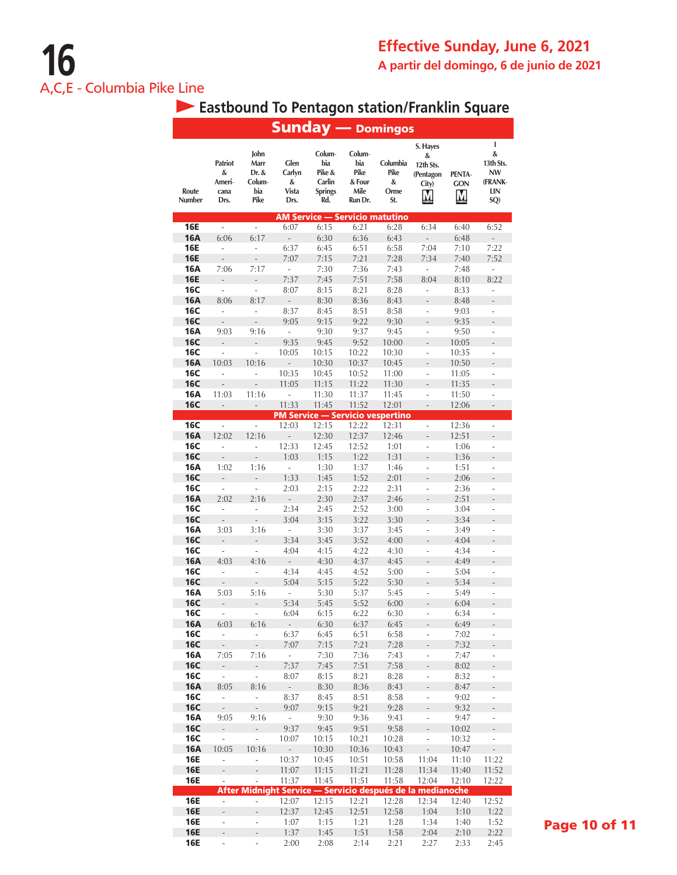|                          |                                               |                                                |                                      |                                                            |                                                    | <b>Sunday</b> — Domingos                |                                                            |                           |                                                                  |
|--------------------------|-----------------------------------------------|------------------------------------------------|--------------------------------------|------------------------------------------------------------|----------------------------------------------------|-----------------------------------------|------------------------------------------------------------|---------------------------|------------------------------------------------------------------|
| Route<br>Number          | <b>Patriot</b><br>&<br>Ameri-<br>cana<br>Drs. | John<br>Marr<br>Dr. &<br>Colum-<br>bia<br>Pike | Glen<br>Carlyn<br>&<br>Vista<br>Drs. | Colum-<br>bia<br>Pike &<br>Carlin<br><b>Springs</b><br>Rd. | Colum-<br>bia<br>Pike<br>& Four<br>Mile<br>Run Dr. | Columbia<br>Pike<br>&<br>Orme<br>St.    | S. Hayes<br>&<br>12th Sts.<br>(Pentagon<br>City)<br>M      | PENTA-<br><b>GON</b><br>M | L<br>&<br>13th Sts.<br><b>NW</b><br>(FRANK-<br><b>LIN</b><br>SQ) |
|                          |                                               |                                                |                                      | <b>AM Service - Servicio matutino</b>                      |                                                    |                                         |                                                            |                           |                                                                  |
| <b>16E</b>               | ä,                                            | ÷.                                             | 6:07                                 | 6:15                                                       | 6:21                                               | 6:28                                    | 6:34                                                       | 6:40                      | 6:52                                                             |
| <b>16A</b><br>16E        | 6:06<br>÷                                     | 6:17<br>÷,                                     | $\bar{\phantom{a}}$<br>6:37          | 6:30<br>6:45                                               | 6:36<br>6:51                                       | 6:43<br>6:58                            | $\frac{1}{2}$<br>7:04                                      | 6:48<br>7:10              | L,<br>7:22                                                       |
| <b>16E</b>               | $\overline{a}$                                | $\overline{a}$                                 | 7:07                                 | 7:15                                                       | 7:21                                               | 7:28                                    | 7:34                                                       | 7:40                      | 7:52                                                             |
| <b>16A</b>               | 7:06                                          | 7:17                                           | $\overline{\phantom{a}}$             | 7:30                                                       | 7:36                                               | 7:43                                    | $\overline{\phantom{a}}$                                   | 7:48                      | ÷,                                                               |
| <b>16E</b>               | $\overline{a}$                                |                                                | 7:37                                 | 7:45                                                       | 7:51                                               | 7:58                                    | 8:04                                                       | 8:10                      | 8:22                                                             |
| <b>16C</b>               | $\overline{a}$                                | $\overline{a}$                                 | 8:07                                 | 8:15                                                       | 8:21                                               | 8:28                                    | $\overline{a}$                                             | 8:33                      | $\overline{a}$                                                   |
| <b>16A</b>               | 8:06                                          | 8:17                                           | $\overline{a}$                       | 8:30                                                       | 8:36                                               | 8:43                                    | L.                                                         | 8:48                      |                                                                  |
| <b>16C</b>               | $\overline{a}$                                | i,                                             | 8:37                                 | 8:45                                                       | 8:51                                               | 8:58                                    | $\overline{\phantom{a}}$                                   | 9:03                      | i,                                                               |
| <b>16C</b>               | $\overline{a}$                                | $\overline{a}$                                 | 9:05                                 | 9:15                                                       | 9:22                                               | 9:30                                    | $\overline{a}$                                             | 9:35                      | $\overline{a}$                                                   |
| 16A                      | 9:03                                          | 9:16                                           | ä,                                   | 9:30                                                       | 9:37                                               | 9:45                                    | $\overline{a}$                                             | 9:50                      | $\overline{a}$                                                   |
| <b>16C</b><br><b>16C</b> | $\overline{a}$<br>$\overline{\phantom{a}}$    | $\overline{\phantom{a}}$                       | 9:35<br>10:05                        | 9:45<br>10:15                                              | 9:52<br>10:22                                      | 10:00<br>10:30                          | $\overline{a}$<br>÷,                                       | 10:05<br>10:35            | $\overline{a}$<br>÷,                                             |
| <b>16A</b>               | 10:03                                         | 10:16                                          | $\overline{a}$                       | 10:30                                                      | 10:37                                              | 10:45                                   |                                                            | 10:50                     | $\overline{a}$                                                   |
| <b>16C</b>               | L                                             |                                                | 10:35                                | 10:45                                                      | 10:52                                              | 11:00                                   | L                                                          | 11:05                     | ÷,                                                               |
| <b>16C</b>               | $\overline{a}$                                | $\frac{1}{2}$                                  | 11:05                                | 11:15                                                      | 11:22                                              | 11:30                                   | $\overline{a}$                                             | 11:35                     | $\overline{a}$                                                   |
| 16A                      | 11:03                                         | 11:16                                          | $\overline{a}$                       | 11:30                                                      | 11:37                                              | 11:45                                   | L,                                                         | 11:50                     | ÷                                                                |
| <b>16C</b>               | $\frac{1}{2}$                                 | $\overline{\phantom{a}}$                       | 11:33                                | 11:45                                                      | 11:52                                              | 12:01                                   | $\frac{1}{2}$                                              | 12:06                     | $\frac{1}{2}$                                                    |
|                          |                                               |                                                |                                      |                                                            |                                                    | <b>PM Service - Servicio vespertino</b> |                                                            |                           |                                                                  |
| <b>16C</b>               | $\overline{\phantom{a}}$                      | $\overline{\phantom{a}}$<br>12:16              | 12:03                                | 12:15                                                      | 12:22<br>12:37                                     | 12:31                                   | $\overline{a}$                                             | 12:36                     | $\overline{\phantom{a}}$                                         |
| <b>16A</b><br><b>16C</b> | 12:02<br>L                                    | L                                              | $\overline{a}$<br>12:33              | 12:30<br>12:45                                             | 12:52                                              | 12:46<br>1:01                           | $\overline{a}$<br>÷,                                       | 12:51<br>1:06             | $\overline{a}$<br>l,                                             |
| <b>16C</b>               | $\overline{a}$                                | $\overline{a}$                                 | 1:03                                 | 1:15                                                       | 1:22                                               | 1:31                                    | $\overline{a}$                                             | 1:36                      | $\overline{a}$                                                   |
| 16A                      | 1:02                                          | 1:16                                           | l,                                   | 1:30                                                       | 1:37                                               | 1:46                                    | ÷,                                                         | 1:51                      | ÷                                                                |
| <b>16C</b>               |                                               | $\overline{a}$                                 | 1:33                                 | 1:45                                                       | 1:52                                               | 2:01                                    |                                                            | 2:06                      | $\overline{a}$                                                   |
| <b>16C</b>               | L,                                            | l,                                             | 2:03                                 | 2:15                                                       | 2:22                                               | 2:31                                    | ÷,                                                         | 2:36                      | ÷,                                                               |
| <b>16A</b>               | 2:02                                          | 2:16                                           | $\frac{1}{2}$                        | 2:30                                                       | 2:37                                               | 2:46                                    |                                                            | 2:51                      | $\overline{a}$                                                   |
| <b>16C</b>               | L,                                            | $\overline{a}$                                 | 2:34                                 | 2:45                                                       | 2:52                                               | 3:00                                    | $\overline{a}$                                             | 3:04                      | $\overline{a}$                                                   |
| <b>16C</b>               | L,                                            | $\overline{a}$                                 | 3:04                                 | 3:15                                                       | 3:22                                               | 3:30                                    | $\overline{a}$                                             | 3:34                      | $\overline{a}$                                                   |
| 16A<br><b>16C</b>        | 3:03<br>$\overline{a}$                        | 3:16<br>$\overline{a}$                         | $\overline{\phantom{a}}$<br>3:34     | 3:30<br>3:45                                               | 3:37<br>3:52                                       | 3:45<br>4:00                            | L,                                                         | 3:49<br>4:04              | $\overline{a}$                                                   |
| <b>16C</b>               | ä,                                            | ÷,                                             | 4:04                                 | 4:15                                                       | 4:22                                               | 4:30                                    | $\overline{a}$                                             | 4:34                      | ÷,                                                               |
| <b>16A</b>               | 4:03                                          | 4:16                                           | L,                                   | 4:30                                                       | 4:37                                               | 4:45                                    |                                                            | 4:49                      | $\overline{a}$                                                   |
| <b>16C</b>               | L                                             | $\overline{a}$                                 | 4:34                                 | 4:45                                                       | 4:52                                               | 5:00                                    | $\overline{a}$                                             | 5:04                      | L,                                                               |
| <b>16C</b>               | $\frac{1}{2}$                                 |                                                | 5:04                                 | 5:15                                                       | 5:22                                               | 5:30                                    |                                                            | 5:34                      |                                                                  |
| 16A                      | 5:03                                          | 5:16                                           | $\overline{\phantom{a}}$             | 5:30                                                       | 5:37                                               | 5:45                                    | $\overline{a}$                                             | 5:49                      | i,                                                               |
| <b>16C</b>               | $\overline{a}$                                | -                                              | 5:34                                 | 5:45                                                       | 5:52                                               | 6:00                                    | $\overline{a}$                                             | 6:04                      | $\overline{a}$                                                   |
| 16C                      |                                               |                                                | 6:04                                 | 6:15                                                       | 6:22                                               | 6:30                                    |                                                            | 6:34                      | ÷                                                                |
| <b>16A</b><br><b>16C</b> | 6:03<br>$\overline{a}$                        | 6:16<br>$\overline{a}$                         | $\overline{\phantom{a}}$<br>6:37     | 6:30<br>6:45                                               | 6:37<br>6:51                                       | 6:45<br>6:58                            |                                                            | 6:49<br>7:02              | $\overline{a}$<br>$\overline{a}$                                 |
| <b>16C</b>               | $\overline{a}$                                | $\overline{a}$                                 | 7:07                                 | 7:15                                                       | 7:21                                               | 7:28                                    |                                                            | 7:32                      | $\overline{a}$                                                   |
| <b>16A</b>               | 7:05                                          | 7:16                                           | $\overline{\phantom{a}}$             | 7:30                                                       | 7:36                                               | 7:43                                    | L,                                                         | 7:47                      | i,                                                               |
| <b>16C</b>               | $\overline{\phantom{a}}$                      | L,                                             | 7:37                                 | 7:45                                                       | 7:51                                               | 7:58                                    |                                                            | 8:02                      | $\overline{a}$                                                   |
| <b>16C</b>               | ÷,                                            | L,                                             | 8:07                                 | 8:15                                                       | 8:21                                               | 8:28                                    | ÷                                                          | 8:32                      | $\overline{\phantom{a}}$                                         |
| <b>16A</b>               | 8:05                                          | 8:16                                           | $\overline{a}$                       | 8:30                                                       | 8:36                                               | 8:43                                    | $\overline{a}$                                             | 8:47                      | $\overline{a}$                                                   |
| <b>16C</b>               | $\overline{\phantom{a}}$                      | L                                              | 8:37                                 | 8:45                                                       | 8:51                                               | 8:58                                    | $\overline{a}$                                             | 9:02                      | $\overline{a}$                                                   |
| <b>16C</b>               | $\overline{a}$                                |                                                | 9:07                                 | 9:15                                                       | 9:21                                               | 9:28                                    |                                                            | 9:32                      | $\overline{a}$                                                   |
| <b>16A</b><br><b>16C</b> | 9:05<br>$\mathbb{L}$                          | 9:16<br>L,                                     | ÷.<br>9:37                           | 9:30<br>9:45                                               | 9:36<br>9:51                                       | 9:43<br>9:58                            | $\overline{a}$<br>$\overline{a}$                           | 9:47<br>10:02             | i,<br>L,                                                         |
| 16C                      | L,                                            | $\overline{a}$                                 | 10:07                                | 10:15                                                      | 10:21                                              | 10:28                                   | L,                                                         | 10:32                     | ÷,                                                               |
| <b>16A</b>               | 10:05                                         | 10:16                                          | $\bar{\phantom{a}}$                  | 10:30                                                      | 10:36                                              | 10:43                                   | $\overline{a}$                                             | 10:47                     | L,                                                               |
| <b>16E</b>               | L,                                            | i,                                             | 10:37                                | 10:45                                                      | 10:51                                              | 10:58                                   | 11:04                                                      | 11:10                     | 11:22                                                            |
| <b>16E</b>               | $\overline{\phantom{m}}$                      |                                                | 11:07                                | 11:15                                                      | 11:21                                              | 11:28                                   | 11:34                                                      | 11:40                     | 11:52                                                            |
| 16E                      | ÷,                                            |                                                | 11:37                                | 11:45                                                      | 11:51                                              | 11:58                                   | 12:04                                                      | 12:10                     | 12:22                                                            |
|                          |                                               |                                                |                                      |                                                            |                                                    |                                         | After Midnight Service - Servicio después de la medianoche |                           |                                                                  |
| <b>16E</b><br><b>16E</b> | $\overline{\phantom{a}}$<br>$\overline{a}$    | ÷,                                             | 12:07<br>12:37                       | 12:15<br>12:45                                             | 12:21<br>12:51                                     | 12:28<br>12:58                          | 12:34<br>1:04                                              | 12:40<br>1:10             | 12:52<br>1:22                                                    |
| 16E                      | $\overline{\phantom{m}}$                      | ÷                                              | 1:07                                 | 1:15                                                       | 1:21                                               | 1:28                                    | 1:34                                                       | 1:40                      | 1:52                                                             |
| <b>16E</b>               | ÷,                                            | -                                              | 1:37                                 | 1:45                                                       | 1:51                                               | 1:58                                    | 2:04                                                       | 2:10                      | 2:22                                                             |
| <b>16E</b>               | $\overline{\phantom{a}}$                      | i,                                             | 2:00                                 | 2:08                                                       | 2:14                                               | 2:21                                    | 2:27                                                       | 2:33                      | 2:45                                                             |